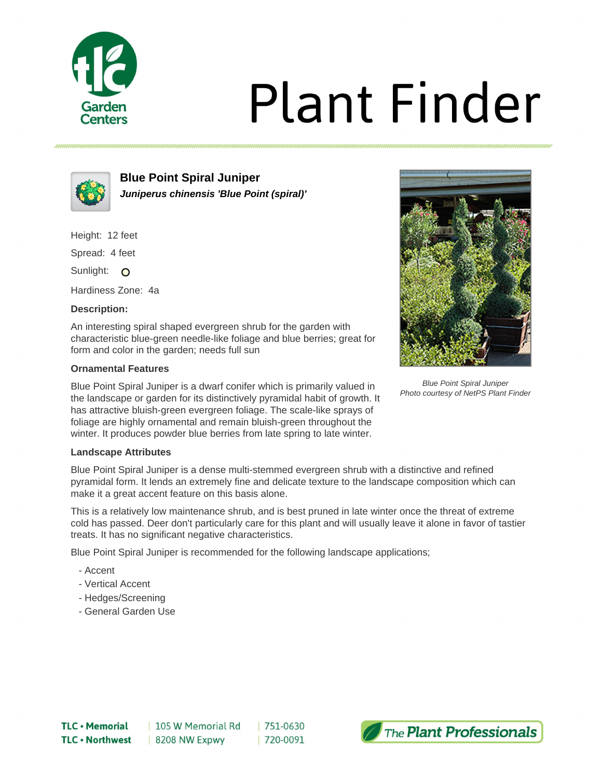

# **Plant Finder**



**Blue Point Spiral Juniper Juniperus chinensis 'Blue Point (spiral)'**

Height: 12 feet

Spread: 4 feet

Sunlight: O

Hardiness Zone: 4a

## **Description:**

An interesting spiral shaped evergreen shrub for the garden with characteristic blue-green needle-like foliage and blue berries; great for form and color in the garden; needs full sun

## **Ornamental Features**

Blue Point Spiral Juniper is a dwarf conifer which is primarily valued in the landscape or garden for its distinctively pyramidal habit of growth. It has attractive bluish-green evergreen foliage. The scale-like sprays of foliage are highly ornamental and remain bluish-green throughout the winter. It produces powder blue berries from late spring to late winter.

# **Landscape Attributes**

Blue Point Spiral Juniper is a dense multi-stemmed evergreen shrub with a distinctive and refined pyramidal form. It lends an extremely fine and delicate texture to the landscape composition which can make it a great accent feature on this basis alone.

This is a relatively low maintenance shrub, and is best pruned in late winter once the threat of extreme cold has passed. Deer don't particularly care for this plant and will usually leave it alone in favor of tastier treats. It has no significant negative characteristics.

Blue Point Spiral Juniper is recommended for the following landscape applications;

- Accent
- Vertical Accent
- Hedges/Screening
- General Garden Use



Blue Point Spiral Juniper Photo courtesy of NetPS Plant Finder